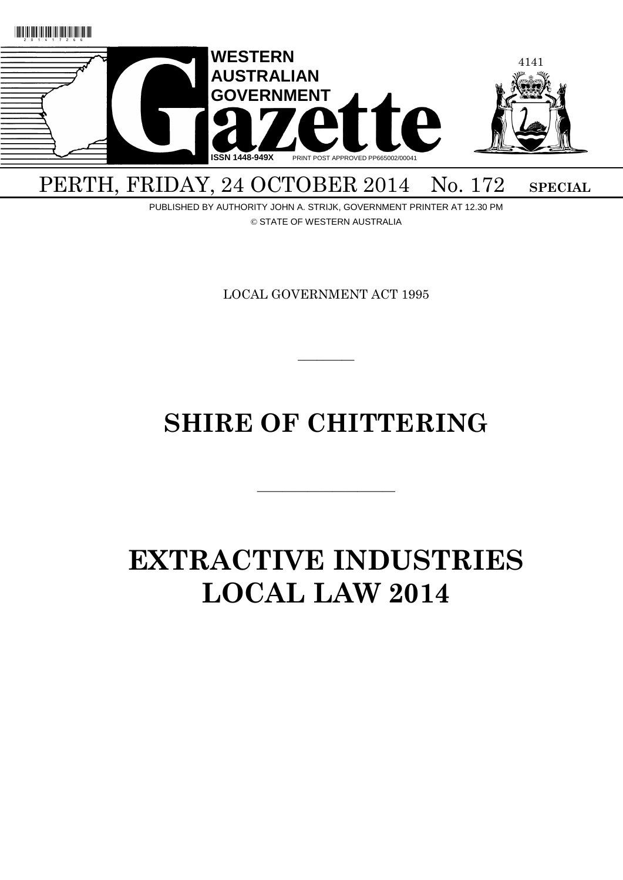

## PERTH, FRIDAY, 24 OCTOBER 2014 No. 172 SPECIAL

PUBLISHED BY AUTHORITY JOHN A. STRIJK, GOVERNMENT PRINTER AT 12.30 PM © STATE OF WESTERN AUSTRALIA

LOCAL GOVERNMENT ACT 1995

 $\overline{\phantom{a}}$ 

## **SHIRE OF CHITTERING**

———————————

# **EXTRACTIVE INDUSTRIES LOCAL LAW 2014**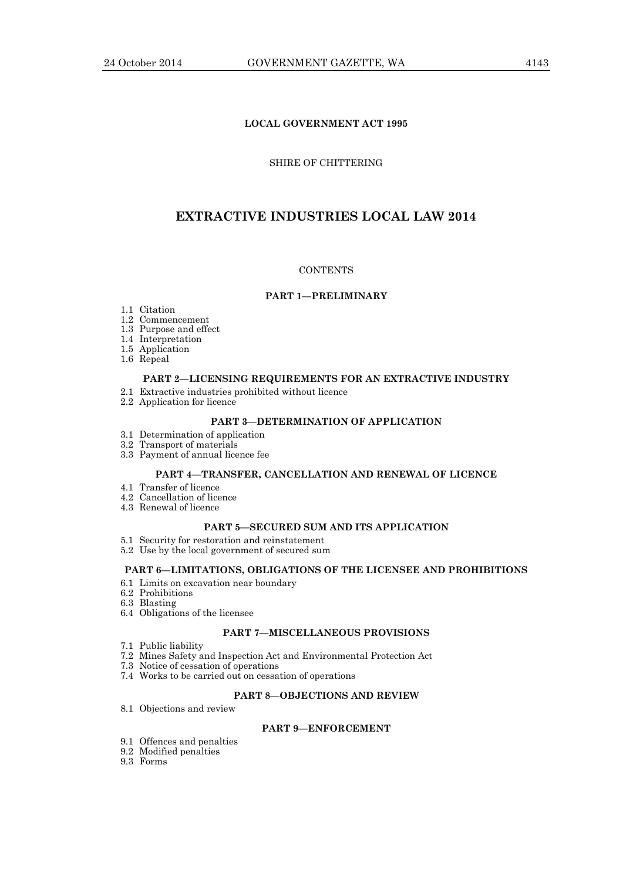## **LOCAL GOVERNMENT ACT 1995**

#### SHIRE OF CHITTERING

## **EXTRACTIVE INDUSTRIES LOCAL LAW 2014**

#### **CONTENTS**

#### **PART 1—PRELIMINARY**

- 1.1 Citation
- 1.2 Commencement
- 1.3 Purpose and effect
- 1.4 Interpretation
- 1.5 Application
- 1.6 Repeal

## **PART 2—LICENSING REQUIREMENTS FOR AN EXTRACTIVE INDUSTRY**

- 2.1 Extractive industries prohibited without licence
- 2.2 Application for licence

## **PART 3—DETERMINATION OF APPLICATION**

- 3.1 Determination of application
- 3.2 Transport of materials
- 3.3 Payment of annual licence fee

#### **PART 4—TRANSFER, CANCELLATION AND RENEWAL OF LICENCE**

- 4.1 Transfer of licence
- 4.2 Cancellation of licence
- 4.3 Renewal of licence

#### **PART 5—SECURED SUM AND ITS APPLICATION**

- 5.1 Security for restoration and reinstatement
- 5.2 Use by the local government of secured sum

## **PART 6—LIMITATIONS, OBLIGATIONS OF THE LICENSEE AND PROHIBITIONS**

- 6.1 Limits on excavation near boundary
- 6.2 Prohibitions
- 6.3 Blasting
- 6.4 Obligations of the licensee

## **PART 7—MISCELLANEOUS PROVISIONS**

- 7.1 Public liability
- 7.2 Mines Safety and Inspection Act and Environmental Protection Act
- 7.3 Notice of cessation of operations
- 7.4 Works to be carried out on cessation of operations

## **PART 8—OBJECTIONS AND REVIEW**

8.1 Objections and review

## **PART 9—ENFORCEMENT**

- 9.1 Offences and penalties
- 9.2 Modified penalties
- 9.3 Forms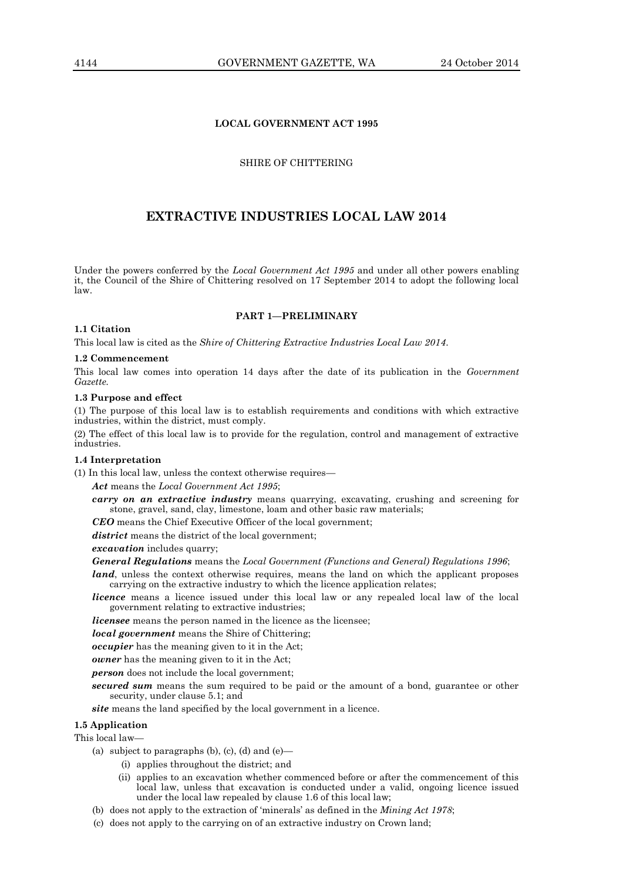#### **LOCAL GOVERNMENT ACT 1995**

#### SHIRE OF CHITTERING

## **EXTRACTIVE INDUSTRIES LOCAL LAW 2014**

Under the powers conferred by the *Local Government Act 1995* and under all other powers enabling it, the Council of the Shire of Chittering resolved on 17 September 2014 to adopt the following local law.

#### **PART 1—PRELIMINARY**

#### **1.1 Citation**

This local law is cited as the *Shire of Chittering Extractive Industries Local Law 2014*.

#### **1.2 Commencement**

This local law comes into operation 14 days after the date of its publication in the *Government Gazette.*

#### **1.3 Purpose and effect**

(1) The purpose of this local law is to establish requirements and conditions with which extractive industries, within the district, must comply.

(2) The effect of this local law is to provide for the regulation, control and management of extractive industries.

#### **1.4 Interpretation**

(1) In this local law, unless the context otherwise requires—

*Act* means the *Local Government Act 1995*;

*carry on an extractive industry* means quarrying, excavating, crushing and screening for stone, gravel, sand, clay, limestone, loam and other basic raw materials;

*CEO* means the Chief Executive Officer of the local government;

*district* means the district of the local government;

*excavation* includes quarry;

*General Regulations* means the *Local Government (Functions and General) Regulations 1996*;

*land*, unless the context otherwise requires, means the land on which the applicant proposes carrying on the extractive industry to which the licence application relates;

*licence* means a licence issued under this local law or any repealed local law of the local government relating to extractive industries;

*licensee* means the person named in the licence as the licensee;

*local government* means the Shire of Chittering;

*occupier* has the meaning given to it in the Act;

*owner* has the meaning given to it in the Act;

*person* does not include the local government;

*secured sum* means the sum required to be paid or the amount of a bond, guarantee or other security, under clause 5.1; and

*site* means the land specified by the local government in a licence.

#### **1.5 Application**

This local law—

- (a) subject to paragraphs (b), (c), (d) and  $(e)$ 
	- (i) applies throughout the district; and
		- (ii) applies to an excavation whether commenced before or after the commencement of this local law, unless that excavation is conducted under a valid, ongoing licence issued under the local law repealed by clause 1.6 of this local law;
- (b) does not apply to the extraction of 'minerals' as defined in the *Mining Act 1978*;
- (c) does not apply to the carrying on of an extractive industry on Crown land;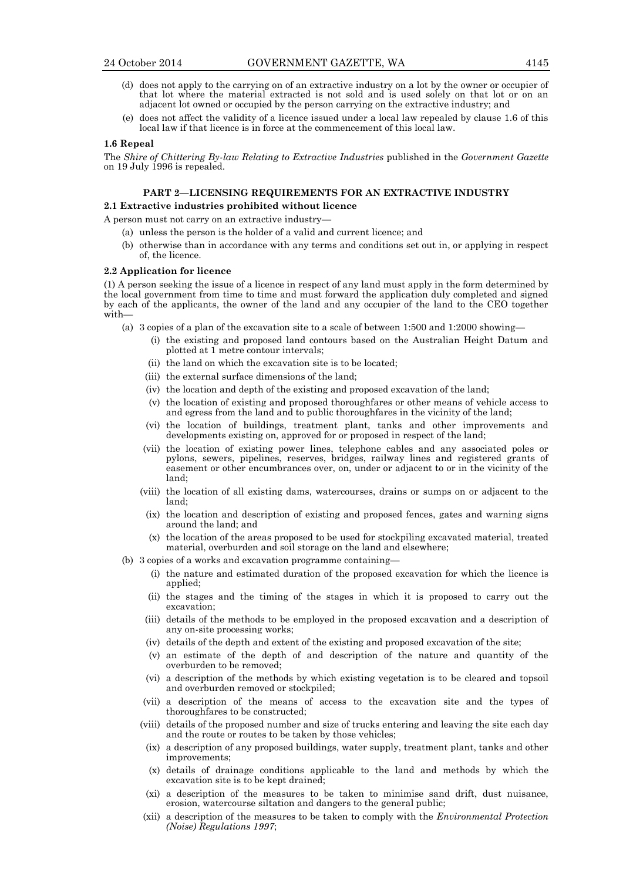- (d) does not apply to the carrying on of an extractive industry on a lot by the owner or occupier of that lot where the material extracted is not sold and is used solely on that lot or on an adjacent lot owned or occupied by the person carrying on the extractive industry; and
- (e) does not affect the validity of a licence issued under a local law repealed by clause 1.6 of this local law if that licence is in force at the commencement of this local law.

#### **1.6 Repeal**

The *Shire of Chittering By-law Relating to Extractive Industries* published in the *Government Gazette* on 19 July 1996 is repealed.

## **PART 2—LICENSING REQUIREMENTS FOR AN EXTRACTIVE INDUSTRY**

## **2.1 Extractive industries prohibited without licence**

A person must not carry on an extractive industry—

- (a) unless the person is the holder of a valid and current licence; and
- (b) otherwise than in accordance with any terms and conditions set out in, or applying in respect of, the licence.

#### **2.2 Application for licence**

(1) A person seeking the issue of a licence in respect of any land must apply in the form determined by the local government from time to time and must forward the application duly completed and signed by each of the applicants, the owner of the land and any occupier of the land to the CEO together with—

- (a) 3 copies of a plan of the excavation site to a scale of between 1:500 and 1:2000 showing—
	- (i) the existing and proposed land contours based on the Australian Height Datum and plotted at 1 metre contour intervals;
	- (ii) the land on which the excavation site is to be located;
	- (iii) the external surface dimensions of the land;
	- (iv) the location and depth of the existing and proposed excavation of the land;
	- (v) the location of existing and proposed thoroughfares or other means of vehicle access to and egress from the land and to public thoroughfares in the vicinity of the land;
	- (vi) the location of buildings, treatment plant, tanks and other improvements and developments existing on, approved for or proposed in respect of the land;
	- (vii) the location of existing power lines, telephone cables and any associated poles or pylons, sewers, pipelines, reserves, bridges, railway lines and registered grants of easement or other encumbrances over, on, under or adjacent to or in the vicinity of the land;
	- (viii) the location of all existing dams, watercourses, drains or sumps on or adjacent to the land;
		- (ix) the location and description of existing and proposed fences, gates and warning signs around the land; and
		- (x) the location of the areas proposed to be used for stockpiling excavated material, treated material, overburden and soil storage on the land and elsewhere;
- (b) 3 copies of a works and excavation programme containing—
	- (i) the nature and estimated duration of the proposed excavation for which the licence is applied;
	- (ii) the stages and the timing of the stages in which it is proposed to carry out the excavation;
	- (iii) details of the methods to be employed in the proposed excavation and a description of any on-site processing works;
	- (iv) details of the depth and extent of the existing and proposed excavation of the site;
	- (v) an estimate of the depth of and description of the nature and quantity of the overburden to be removed;
	- (vi) a description of the methods by which existing vegetation is to be cleared and topsoil and overburden removed or stockpiled;
	- (vii) a description of the means of access to the excavation site and the types of thoroughfares to be constructed;
	- (viii) details of the proposed number and size of trucks entering and leaving the site each day and the route or routes to be taken by those vehicles;
		- (ix) a description of any proposed buildings, water supply, treatment plant, tanks and other improvements;
		- (x) details of drainage conditions applicable to the land and methods by which the excavation site is to be kept drained;
	- (xi) a description of the measures to be taken to minimise sand drift, dust nuisance, erosion, watercourse siltation and dangers to the general public;
	- (xii) a description of the measures to be taken to comply with the *Environmental Protection (Noise) Regulations 1997*;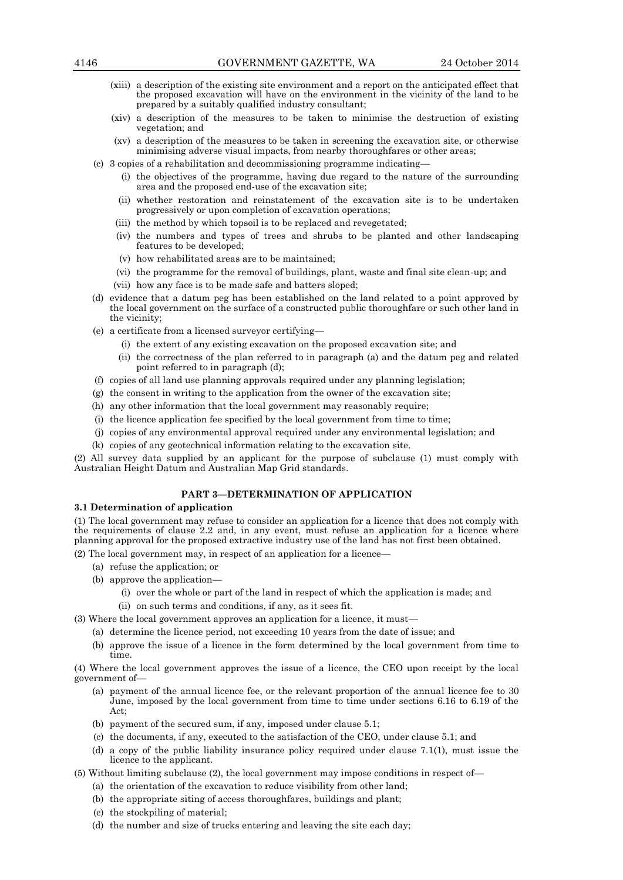- (xiii) a description of the existing site environment and a report on the anticipated effect that the proposed excavation will have on the environment in the vicinity of the land to be prepared by a suitably qualified industry consultant;
- (xiv) a description of the measures to be taken to minimise the destruction of existing vegetation; and
- (xv) a description of the measures to be taken in screening the excavation site, or otherwise minimising adverse visual impacts, from nearby thoroughfares or other areas;
- (c) 3 copies of a rehabilitation and decommissioning programme indicating—
	- (i) the objectives of the programme, having due regard to the nature of the surrounding area and the proposed end-use of the excavation site;
	- (ii) whether restoration and reinstatement of the excavation site is to be undertaken progressively or upon completion of excavation operations;
	- (iii) the method by which topsoil is to be replaced and revegetated;
	- (iv) the numbers and types of trees and shrubs to be planted and other landscaping features to be developed;
	- (v) how rehabilitated areas are to be maintained;
	- (vi) the programme for the removal of buildings, plant, waste and final site clean-up; and
	- (vii) how any face is to be made safe and batters sloped;
- (d) evidence that a datum peg has been established on the land related to a point approved by the local government on the surface of a constructed public thoroughfare or such other land in the vicinity;
- (e) a certificate from a licensed surveyor certifying—
	- (i) the extent of any existing excavation on the proposed excavation site; and
	- (ii) the correctness of the plan referred to in paragraph (a) and the datum peg and related point referred to in paragraph (d);
- (f) copies of all land use planning approvals required under any planning legislation;
- (g) the consent in writing to the application from the owner of the excavation site;
- (h) any other information that the local government may reasonably require;
- (i) the licence application fee specified by the local government from time to time;
- (j) copies of any environmental approval required under any environmental legislation; and
- (k) copies of any geotechnical information relating to the excavation site.

(2) All survey data supplied by an applicant for the purpose of subclause (1) must comply with Australian Height Datum and Australian Map Grid standards.

#### **PART 3—DETERMINATION OF APPLICATION**

#### **3.1 Determination of application**

(1) The local government may refuse to consider an application for a licence that does not comply with the requirements of clause 2.2 and, in any event, must refuse an application for a licence where planning approval for the proposed extractive industry use of the land has not first been obtained.

(2) The local government may, in respect of an application for a licence—

- (a) refuse the application; or
- (b) approve the application—
	- (i) over the whole or part of the land in respect of which the application is made; and
	- (ii) on such terms and conditions, if any, as it sees fit.

(3) Where the local government approves an application for a licence, it must—

- (a) determine the licence period, not exceeding 10 years from the date of issue; and
- (b) approve the issue of a licence in the form determined by the local government from time to time.

(4) Where the local government approves the issue of a licence, the CEO upon receipt by the local government of—

- (a) payment of the annual licence fee, or the relevant proportion of the annual licence fee to 30 June, imposed by the local government from time to time under sections 6.16 to 6.19 of the Act;
- (b) payment of the secured sum, if any, imposed under clause 5.1;
- (c) the documents, if any, executed to the satisfaction of the CEO, under clause 5.1; and
- (d) a copy of the public liability insurance policy required under clause 7.1(1), must issue the licence to the applicant.

(5) Without limiting subclause (2), the local government may impose conditions in respect of—

- (a) the orientation of the excavation to reduce visibility from other land;
- (b) the appropriate siting of access thoroughfares, buildings and plant;
- (c) the stockpiling of material;
- (d) the number and size of trucks entering and leaving the site each day;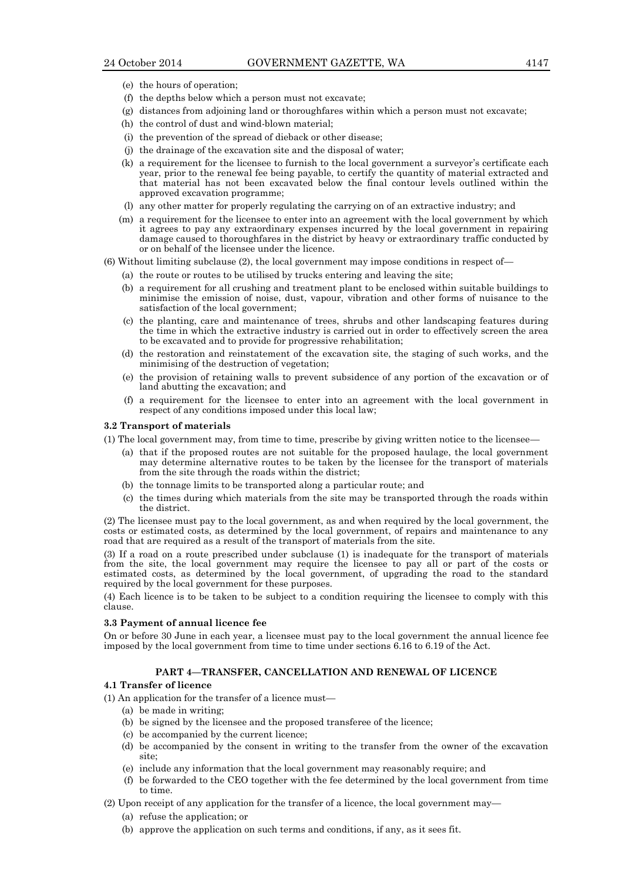- (e) the hours of operation;
- (f) the depths below which a person must not excavate;
- (g) distances from adjoining land or thoroughfares within which a person must not excavate;
- (h) the control of dust and wind-blown material;
- (i) the prevention of the spread of dieback or other disease;
- (j) the drainage of the excavation site and the disposal of water;
- (k) a requirement for the licensee to furnish to the local government a surveyor's certificate each year, prior to the renewal fee being payable, to certify the quantity of material extracted and that material has not been excavated below the final contour levels outlined within the approved excavation programme;
- (l) any other matter for properly regulating the carrying on of an extractive industry; and
- (m) a requirement for the licensee to enter into an agreement with the local government by which it agrees to pay any extraordinary expenses incurred by the local government in repairing damage caused to thoroughfares in the district by heavy or extraordinary traffic conducted by or on behalf of the licensee under the licence.
- (6) Without limiting subclause (2), the local government may impose conditions in respect of—
	- (a) the route or routes to be utilised by trucks entering and leaving the site;
	- (b) a requirement for all crushing and treatment plant to be enclosed within suitable buildings to minimise the emission of noise, dust, vapour, vibration and other forms of nuisance to the satisfaction of the local government;
	- (c) the planting, care and maintenance of trees, shrubs and other landscaping features during the time in which the extractive industry is carried out in order to effectively screen the area to be excavated and to provide for progressive rehabilitation;
	- (d) the restoration and reinstatement of the excavation site, the staging of such works, and the minimising of the destruction of vegetation;
	- (e) the provision of retaining walls to prevent subsidence of any portion of the excavation or of land abutting the excavation; and
	- (f) a requirement for the licensee to enter into an agreement with the local government in respect of any conditions imposed under this local law;

#### **3.2 Transport of materials**

- (1) The local government may, from time to time, prescribe by giving written notice to the licensee—
	- (a) that if the proposed routes are not suitable for the proposed haulage, the local government may determine alternative routes to be taken by the licensee for the transport of materials from the site through the roads within the district;
	- (b) the tonnage limits to be transported along a particular route; and
	- (c) the times during which materials from the site may be transported through the roads within the district.

(2) The licensee must pay to the local government, as and when required by the local government, the costs or estimated costs, as determined by the local government, of repairs and maintenance to any road that are required as a result of the transport of materials from the site.

(3) If a road on a route prescribed under subclause (1) is inadequate for the transport of materials from the site, the local government may require the licensee to pay all or part of the costs or estimated costs, as determined by the local government, of upgrading the road to the standard required by the local government for these purposes.

(4) Each licence is to be taken to be subject to a condition requiring the licensee to comply with this clause.

#### **3.3 Payment of annual licence fee**

On or before 30 June in each year, a licensee must pay to the local government the annual licence fee imposed by the local government from time to time under sections 6.16 to 6.19 of the Act.

## **PART 4—TRANSFER, CANCELLATION AND RENEWAL OF LICENCE**

#### **4.1 Transfer of licence**

(1) An application for the transfer of a licence must—

- (a) be made in writing;
- (b) be signed by the licensee and the proposed transferee of the licence;
- (c) be accompanied by the current licence;
- (d) be accompanied by the consent in writing to the transfer from the owner of the excavation site;
- (e) include any information that the local government may reasonably require; and
- (f) be forwarded to the CEO together with the fee determined by the local government from time to time.
- (2) Upon receipt of any application for the transfer of a licence, the local government may—
	- (a) refuse the application; or
	- (b) approve the application on such terms and conditions, if any, as it sees fit.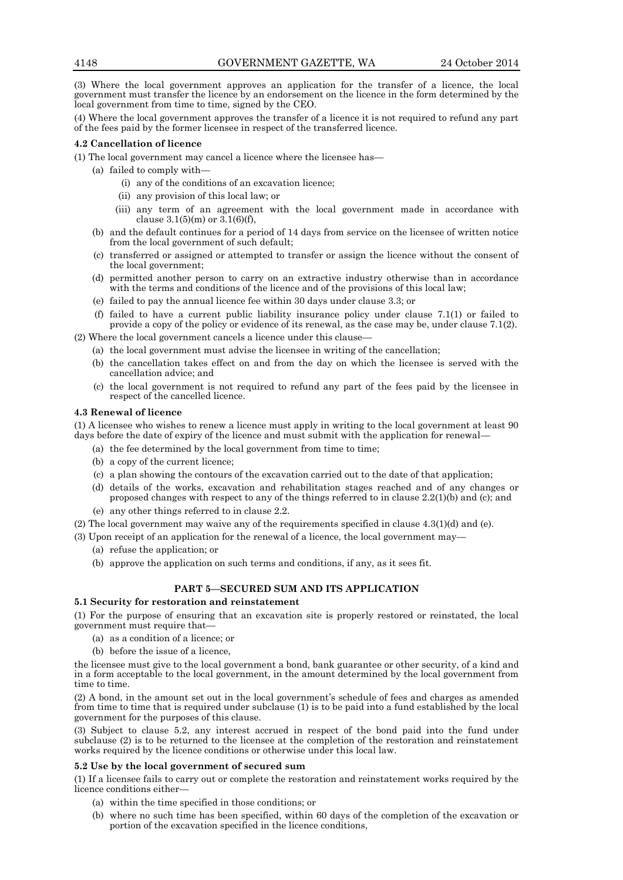(3) Where the local government approves an application for the transfer of a licence, the local government must transfer the licence by an endorsement on the licence in the form determined by the local government from time to time, signed by the CEO.

(4) Where the local government approves the transfer of a licence it is not required to refund any part of the fees paid by the former licensee in respect of the transferred licence.

#### **4.2 Cancellation of licence**

(1) The local government may cancel a licence where the licensee has—

- (a) failed to comply with—
	- (i) any of the conditions of an excavation licence;
	- (ii) any provision of this local law; or
	- (iii) any term of an agreement with the local government made in accordance with clause  $3.1(5)(m)$  or  $3.1(6)(f)$ ,
- (b) and the default continues for a period of 14 days from service on the licensee of written notice from the local government of such default;
- (c) transferred or assigned or attempted to transfer or assign the licence without the consent of the local government;
- (d) permitted another person to carry on an extractive industry otherwise than in accordance with the terms and conditions of the licence and of the provisions of this local law;
- (e) failed to pay the annual licence fee within 30 days under clause 3.3; or
- (f) failed to have a current public liability insurance policy under clause 7.1(1) or failed to provide a copy of the policy or evidence of its renewal, as the case may be, under clause 7.1(2).

(2) Where the local government cancels a licence under this clause-

- (a) the local government must advise the licensee in writing of the cancellation;
- (b) the cancellation takes effect on and from the day on which the licensee is served with the cancellation advice; and
- (c) the local government is not required to refund any part of the fees paid by the licensee in respect of the cancelled licence.

#### **4.3 Renewal of licence**

(1) A licensee who wishes to renew a licence must apply in writing to the local government at least 90 days before the date of expiry of the licence and must submit with the application for renewal—

- (a) the fee determined by the local government from time to time;
- (b) a copy of the current licence;
- (c) a plan showing the contours of the excavation carried out to the date of that application;
- (d) details of the works, excavation and rehabilitation stages reached and of any changes or proposed changes with respect to any of the things referred to in clause 2.2(1)(b) and (c); and
- (e) any other things referred to in clause 2.2.
- (2) The local government may waive any of the requirements specified in clause  $4.3(1)(d)$  and (e).

(3) Upon receipt of an application for the renewal of a licence, the local government may—

- (a) refuse the application; or
- (b) approve the application on such terms and conditions, if any, as it sees fit.

#### **PART 5—SECURED SUM AND ITS APPLICATION**

#### **5.1 Security for restoration and reinstatement**

(1) For the purpose of ensuring that an excavation site is properly restored or reinstated, the local government must require that—

- (a) as a condition of a licence; or
- (b) before the issue of a licence,

the licensee must give to the local government a bond, bank guarantee or other security, of a kind and in a form acceptable to the local government, in the amount determined by the local government from time to time.

(2) A bond, in the amount set out in the local government's schedule of fees and charges as amended from time to time that is required under subclause (1) is to be paid into a fund established by the local government for the purposes of this clause.

(3) Subject to clause 5.2, any interest accrued in respect of the bond paid into the fund under subclause (2) is to be returned to the licensee at the completion of the restoration and reinstatement works required by the licence conditions or otherwise under this local law.

#### **5.2 Use by the local government of secured sum**

(1) If a licensee fails to carry out or complete the restoration and reinstatement works required by the licence conditions either—

- (a) within the time specified in those conditions; or
- (b) where no such time has been specified, within 60 days of the completion of the excavation or portion of the excavation specified in the licence conditions,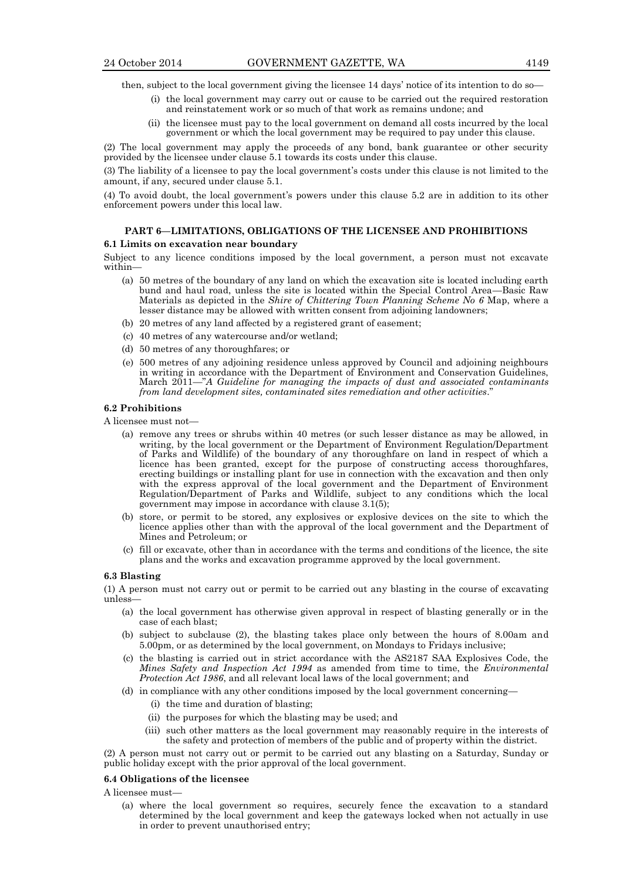then, subject to the local government giving the licensee 14 days' notice of its intention to do so—

- (i) the local government may carry out or cause to be carried out the required restoration and reinstatement work or so much of that work as remains undone; and
- (ii) the licensee must pay to the local government on demand all costs incurred by the local government or which the local government may be required to pay under this clause.

(2) The local government may apply the proceeds of any bond, bank guarantee or other security provided by the licensee under clause 5.1 towards its costs under this clause.

(3) The liability of a licensee to pay the local government's costs under this clause is not limited to the amount, if any, secured under clause 5.1.

(4) To avoid doubt, the local government's powers under this clause 5.2 are in addition to its other enforcement powers under this local law.

#### **PART 6—LIMITATIONS, OBLIGATIONS OF THE LICENSEE AND PROHIBITIONS**

#### **6.1 Limits on excavation near boundary**

Subject to any licence conditions imposed by the local government, a person must not excavate within—

- (a) 50 metres of the boundary of any land on which the excavation site is located including earth bund and haul road, unless the site is located within the Special Control Area—Basic Raw Materials as depicted in the *Shire of Chittering Town Planning Scheme No 6* Map, where a lesser distance may be allowed with written consent from adjoining landowners;
- (b) 20 metres of any land affected by a registered grant of easement;
- (c) 40 metres of any watercourse and/or wetland;
- (d) 50 metres of any thoroughfares; or
- (e) 500 metres of any adjoining residence unless approved by Council and adjoining neighbours in writing in accordance with the Department of Environment and Conservation Guidelines, March 2011—"*A Guideline for managing the impacts of dust and associated contaminants from land development sites, contaminated sites remediation and other activities*."

#### **6.2 Prohibitions**

A licensee must not—

- (a) remove any trees or shrubs within 40 metres (or such lesser distance as may be allowed, in writing, by the local government or the Department of Environment Regulation/Department of Parks and Wildlife) of the boundary of any thoroughfare on land in respect of which a licence has been granted, except for the purpose of constructing access thoroughfares, erecting buildings or installing plant for use in connection with the excavation and then only with the express approval of the local government and the Department of Environment Regulation/Department of Parks and Wildlife, subject to any conditions which the local government may impose in accordance with clause 3.1(5);
- (b) store, or permit to be stored, any explosives or explosive devices on the site to which the licence applies other than with the approval of the local government and the Department of Mines and Petroleum; or
- (c) fill or excavate, other than in accordance with the terms and conditions of the licence, the site plans and the works and excavation programme approved by the local government.

#### **6.3 Blasting**

(1) A person must not carry out or permit to be carried out any blasting in the course of excavating unless—

- (a) the local government has otherwise given approval in respect of blasting generally or in the case of each blast;
- (b) subject to subclause (2), the blasting takes place only between the hours of 8.00am and 5.00pm, or as determined by the local government, on Mondays to Fridays inclusive;
- (c) the blasting is carried out in strict accordance with the AS2187 SAA Explosives Code, the *Mines Safety and Inspection Act 1994* as amended from time to time, the *Environmental Protection Act 1986*, and all relevant local laws of the local government; and
- (d) in compliance with any other conditions imposed by the local government concerning—
	- (i) the time and duration of blasting;
	- (ii) the purposes for which the blasting may be used; and
	- (iii) such other matters as the local government may reasonably require in the interests of the safety and protection of members of the public and of property within the district.

(2) A person must not carry out or permit to be carried out any blasting on a Saturday, Sunday or public holiday except with the prior approval of the local government.

#### **6.4 Obligations of the licensee**

A licensee must—

(a) where the local government so requires, securely fence the excavation to a standard determined by the local government and keep the gateways locked when not actually in use in order to prevent unauthorised entry;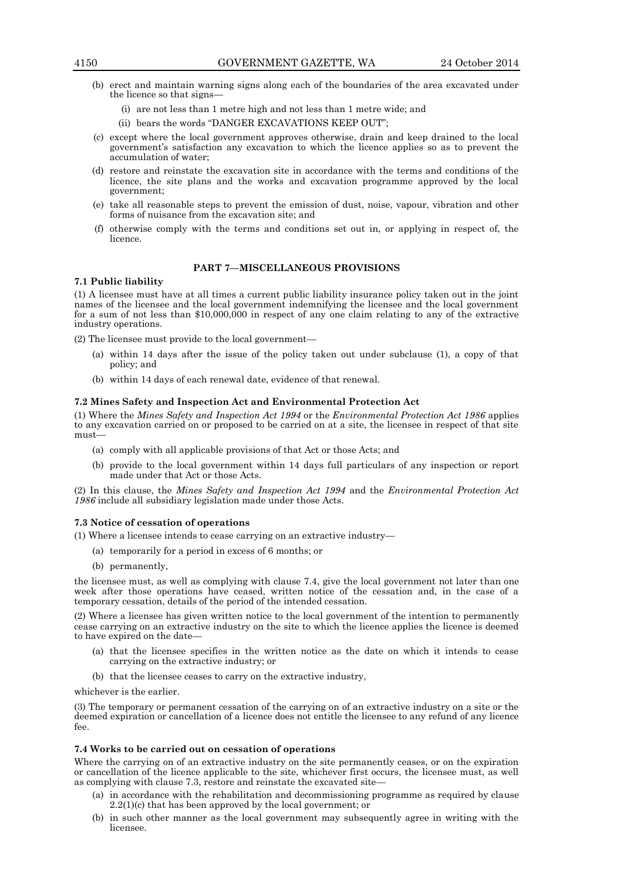- (b) erect and maintain warning signs along each of the boundaries of the area excavated under the licence so that signs—
	- (i) are not less than 1 metre high and not less than 1 metre wide; and
	- (ii) bears the words "DANGER EXCAVATIONS KEEP OUT";
- (c) except where the local government approves otherwise, drain and keep drained to the local government's satisfaction any excavation to which the licence applies so as to prevent the accumulation of water;
- (d) restore and reinstate the excavation site in accordance with the terms and conditions of the licence, the site plans and the works and excavation programme approved by the local government;
- (e) take all reasonable steps to prevent the emission of dust, noise, vapour, vibration and other forms of nuisance from the excavation site; and
- (f) otherwise comply with the terms and conditions set out in, or applying in respect of, the licence.

## **PART 7—MISCELLANEOUS PROVISIONS**

#### **7.1 Public liability**

(1) A licensee must have at all times a current public liability insurance policy taken out in the joint names of the licensee and the local government indemnifying the licensee and the local government for a sum of not less than \$10,000,000 in respect of any one claim relating to any of the extractive industry operations.

(2) The licensee must provide to the local government—

- (a) within 14 days after the issue of the policy taken out under subclause (1), a copy of that policy; and
- (b) within 14 days of each renewal date, evidence of that renewal.

#### **7.2 Mines Safety and Inspection Act and Environmental Protection Act**

(1) Where the *Mines Safety and Inspection Act 1994* or the *Environmental Protection Act 1986* applies to any excavation carried on or proposed to be carried on at a site, the licensee in respect of that site must—

- (a) comply with all applicable provisions of that Act or those Acts; and
- (b) provide to the local government within 14 days full particulars of any inspection or report made under that Act or those Acts.

(2) In this clause, the *Mines Safety and Inspection Act 1994* and the *Environmental Protection Act 1986* include all subsidiary legislation made under those Acts.

#### **7.3 Notice of cessation of operations**

(1) Where a licensee intends to cease carrying on an extractive industry—

- (a) temporarily for a period in excess of 6 months; or
- (b) permanently,

the licensee must, as well as complying with clause 7.4, give the local government not later than one week after those operations have ceased, written notice of the cessation and, in the case of a temporary cessation, details of the period of the intended cessation.

(2) Where a licensee has given written notice to the local government of the intention to permanently cease carrying on an extractive industry on the site to which the licence applies the licence is deemed to have expired on the date—

- (a) that the licensee specifies in the written notice as the date on which it intends to cease carrying on the extractive industry; or
- (b) that the licensee ceases to carry on the extractive industry,

whichever is the earlier.

(3) The temporary or permanent cessation of the carrying on of an extractive industry on a site or the deemed expiration or cancellation of a licence does not entitle the licensee to any refund of any licence fee.

#### **7.4 Works to be carried out on cessation of operations**

Where the carrying on of an extractive industry on the site permanently ceases, or on the expiration or cancellation of the licence applicable to the site, whichever first occurs, the licensee must, as well as complying with clause 7.3, restore and reinstate the excavated site—

- (a) in accordance with the rehabilitation and decommissioning programme as required by clause 2.2(1)(c) that has been approved by the local government; or
- (b) in such other manner as the local government may subsequently agree in writing with the licensee.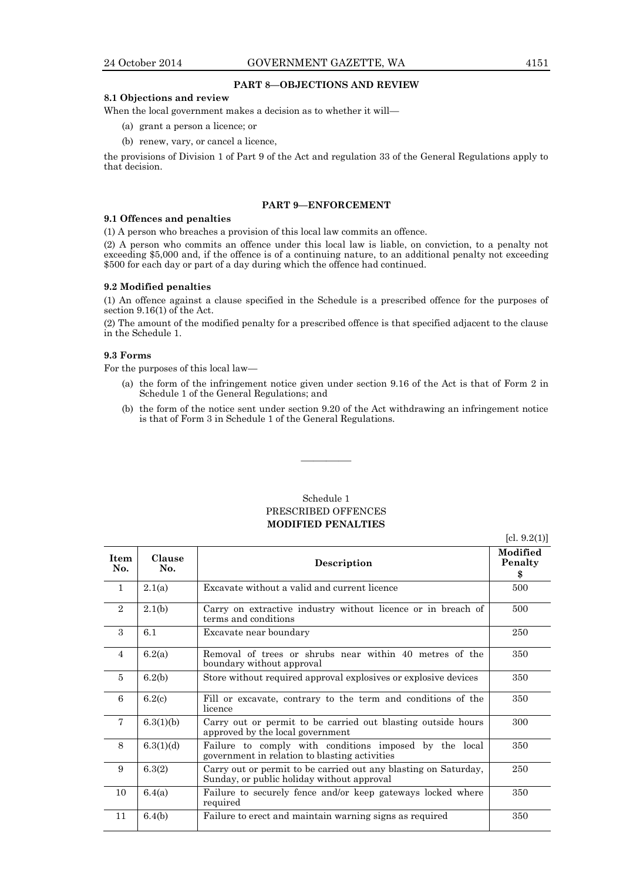#### **PART 8—OBJECTIONS AND REVIEW**

#### **8.1 Objections and review**

When the local government makes a decision as to whether it will—

- (a) grant a person a licence; or
- (b) renew, vary, or cancel a licence,

the provisions of Division 1 of Part 9 of the Act and regulation 33 of the General Regulations apply to that decision.

#### **PART 9—ENFORCEMENT**

#### **9.1 Offences and penalties**

(1) A person who breaches a provision of this local law commits an offence.

(2) A person who commits an offence under this local law is liable, on conviction, to a penalty not exceeding \$5,000 and, if the offence is of a continuing nature, to an additional penalty not exceeding \$500 for each day or part of a day during which the offence had continued.

#### **9.2 Modified penalties**

(1) An offence against a clause specified in the Schedule is a prescribed offence for the purposes of section 9.16(1) of the Act.

(2) The amount of the modified penalty for a prescribed offence is that specified adjacent to the clause in the Schedule 1.

#### **9.3 Forms**

For the purposes of this local law—

- (a) the form of the infringement notice given under section 9.16 of the Act is that of Form 2 in Schedule 1 of the General Regulations; and
- (b) the form of the notice sent under section 9.20 of the Act withdrawing an infringement notice is that of Form 3 in Schedule 1 of the General Regulations.

## Schedule 1 PRESCRIBED OFFENCES **MODIFIED PENALTIES**

————

 $[cl. 9.2(1)]$ 

| <b>Item</b><br>No. | Clause<br>No. | Description                                                                                                   | Modified<br>Penalty<br>\$ |
|--------------------|---------------|---------------------------------------------------------------------------------------------------------------|---------------------------|
| $\mathbf{1}$       | 2.1(a)        | Excavate without a valid and current licence                                                                  | 500                       |
| $\overline{2}$     | 2.1(b)        | Carry on extractive industry without licence or in breach of<br>terms and conditions                          | 500                       |
| 3                  | 6.1           | Excavate near boundary                                                                                        | 250                       |
| $\overline{4}$     | 6.2(a)        | Removal of trees or shrubs near within 40 metres of the<br>boundary without approval                          | 350                       |
| $\overline{5}$     | 6.2(b)        | Store without required approval explosives or explosive devices                                               | 350                       |
| 6                  | 6.2(c)        | Fill or excavate, contrary to the term and conditions of the<br>licence                                       | 350                       |
| $\overline{7}$     | 6.3(1)(b)     | Carry out or permit to be carried out blasting outside hours<br>approved by the local government              | 300                       |
| 8                  | 6.3(1)(d)     | Failure to comply with conditions imposed by the local<br>government in relation to blasting activities       | 350                       |
| 9                  | 6.3(2)        | Carry out or permit to be carried out any blasting on Saturday,<br>Sunday, or public holiday without approval | 250                       |
| 10                 | 6.4(a)        | Failure to securely fence and/or keep gateways locked where<br>required                                       | 350                       |
| 11                 | 6.4(b)        | Failure to erect and maintain warning signs as required                                                       | 350                       |